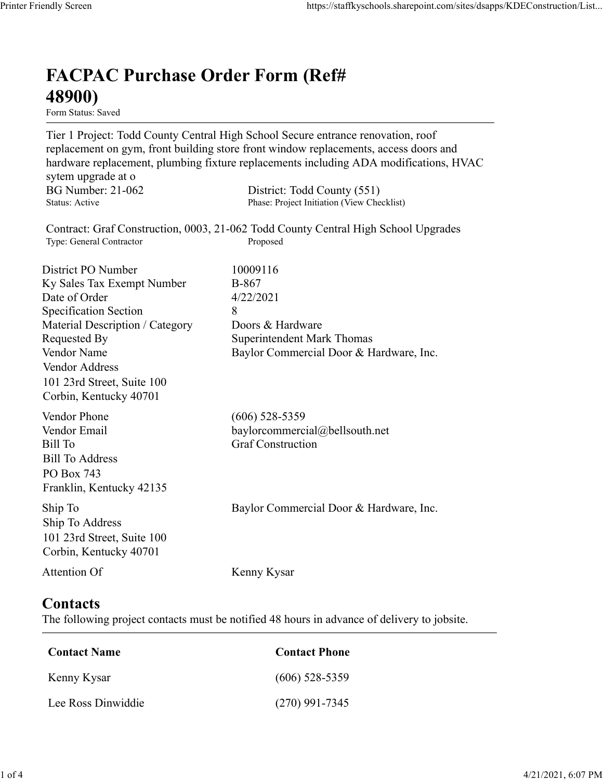## FACPAC Purchase Order Form (Ref# 48900)

Form Status: Saved

Tier 1 Project: Todd County Central High School Secure entrance renovation, roof replacement on gym, front building store front window replacements, access doors and hardware replacement, plumbing fixture replacements including ADA modifications, HVAC sytem upgrade at o https://staffkyschools.sharepoint.com/sites/dsapps/KDEConstructic<br> **FACPAC Purchase Order Form (Ref#**<br> **FECPAC Purchase Order Form (Ref#**<br>
Tier 1 Project: Todd County Central High School Secure entrance renovation, roof<br>
r https://staffkyschools.sharepoint.com/sites/dsapps/KDEConstructic<br> **FACPAC Purchase Order Form (Ref#**<br>
H89000)<br>
Figure 18: For a State<br>
Tier 1 Project: Todd County Central High School Secure entrance renovation, roof<br>
repl Contract: Graf Construction, 0003, 21-062 Todd County Central High School Upgrades https://staffkyschools.sharepoint.com/sites/dsarps/KDFConstructic<br> **FACPAC Purchase Order Form (Ref#**<br>
Form Status: Saved<br>
Form Status: Saved<br>
Ter 1 Project: Todd County Central High School Secure entrance renovation, roof **FACPAC Purchase Order Form (Ref#**<br> **48900)**<br> **Form Status:** Saved<br>
Tier 1 Project: Todd County Central High School Sceure entrance renovation, roof<br>
replacement on gym, front building store front window replacements, acc **FACPAC Purchase Order Form (Ref#**<br> **48900)**<br>
Form Stanes Saved<br>
Form Stanes Saved<br>
Ter 1 Project: Todd County Central High School Secure entrance renovation, roof<br>
replacement on gym, front building store front window re **FACPAC Purchase Order Form (Ref#** $\leftarrow$  **48900)**<br>
Form Status: Saved<br>
Tier 1 Project: Todd County Central High School Secure entrance renovation, roof<br>
replacement on gym, front building store front window replacements, acc **FACPAC Purchase Order Form (Ref#**<br> **48900)**<br>
Form Status: Saved<br>
Tier 1 Project: Todd County Central High School Sceure entrance renovation, roof<br>
replacement on gym, front building store front window replacements, acces **FACPAC Purchase Order Form (Ref#**<br> **48900)**<br>
Form Status. Saved<br>
Terr 1 Project: Todd County Central High School Secure entrance renovation, roof<br>
Teplacement on gym, front building store front window replacements, acces **48900)**<br>
Form Status: Saved<br>
Tier 1 Project: Todd County Central High School Secure entrance renovation, roof<br>
replacement on gym, front building store front window replacements, access doors and<br>
hardware replacement, p **From Status:** Saved<br> **Form Status:** Saved<br>
Trer 1 Project: Todd County Central High School Sceure entrance renovation, roof<br>
replacement on gym, front building store front window replacements, access doors and<br>
hardware r Vendor Address 101 23rd Street, Suite 100 Corbin, Kentucky 40701 nardware replacements, multimagn at the system upgrade at o<br>sytem upgrade at o<br>BG Number: 21-062 District: Todd County (551)<br>Status: Active<br>BG Number<br>Contract: Graf Construction, 0003, 21-062 Todd County Central High Schoo sytem upgrade at o<br>
BG Number: 21-062 District: Todd County (551)<br>
Status: Active Phase: Project Initiation (View Checklist)<br>
Status: Active Phase: Project Initiation (View Checklist)<br>
Type: General Contractor<br>
District PO BG Number: 21-062<br>
Bill To Construction, 0003, 21-062 District: Ioad County Central High School Upgrades<br>
Thus: Project Construction, 0003, 21-062 Todd County Central High School Upgrades<br>
Type: General Contractor<br>
Distric Bill To Address PO Box 743 Franklin, Kentucky 42135 District PO Number<br>
In Sky Sales Tax Exempt Number<br>
IDate of Order<br>
Specification Section<br>
Secretical Description / Category<br>
Material Description / Category<br>
Doors & Hardware<br>
Nenders<br>
Nendor Name<br>
Vendor Name<br>
Vendor Nam Ship To Address 101 23rd Street, Suite 100 Corbin, Kentucky 40701 Material Description / Category<br>
Requested By<br>
Requested By<br>
Romercial Door & Hardware, Inc.<br>
Vendor Address<br>
Vendor Address<br>
Orbin, Kentucky 40701<br>
19.1 23rd Street, Suite 100<br>
Wendor Phone<br>
(606) 528-5359<br>
Vendor Phone<br> Contact Name<br>
Conditional Contact Phone<br>
Contact Phone<br>
Exil To Address<br>
Contact Sill To Address<br>
Contact Construction<br>
In To Address<br>
In To Address<br>
In To Address<br>
District, Suite 100<br>
Contact Name<br>
Contact S<br>
the follow Vendor Email<br>
Itil To<br>
Itil To<br>
Itil To<br>
Sull To<br>
Itil To<br>
Sull To<br>
Address<br>
To<br>
Do Dox 743<br>
In p To<br>
In To<br>
In To<br>
In To<br>
Sull Strucky 42135<br>
In To<br>
Do 23rd Strucky 40701<br>
Itention Of<br>
Nenny Kysar<br> **Contact Server, Sullar** Sill To Address<br>
Co Box 743<br>
Yalkin, Kentucky 42135<br>
hip To<br>
Tranklin, Kentucky 42135<br>
hip To Address<br>
hip To Address<br>
hip To Address<br>
Don 12316 Street, Suite 100<br>
Orbin, Kentucky 40701<br>
Lee Ross Dinwiddie<br>
Contact Name<br>
C

## **Contacts**

The following project contacts must be notified 48 hours in advance of delivery to jobsite.

| Contact Name       | <b>Contact Phone</b> |
|--------------------|----------------------|
| Kenny Kysar        | $(606)$ 528-5359     |
| Lee Ross Dinwiddie | $(270)$ 991-7345     |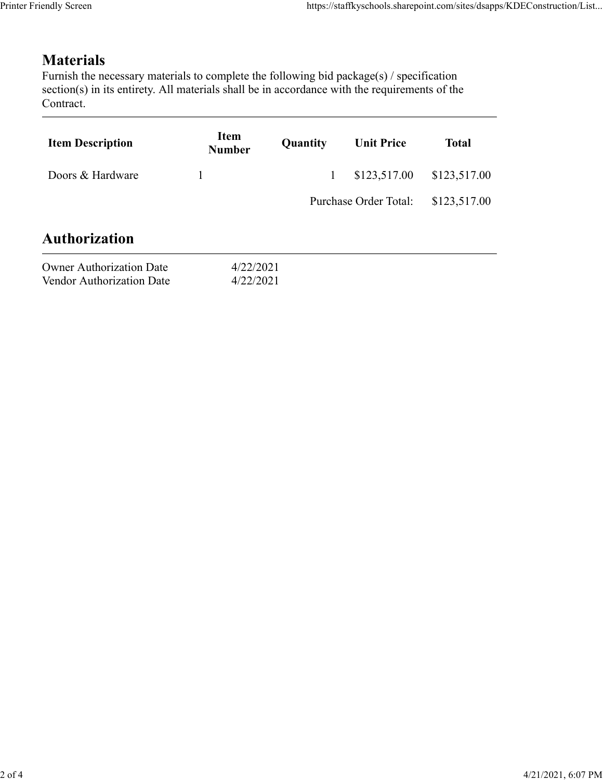## **Materials**

| Item<br><b>Number</b> | Quantity | <b>Unit Price</b>      | <b>Total</b>                                                                                                                                                                                                                                                                                  |
|-----------------------|----------|------------------------|-----------------------------------------------------------------------------------------------------------------------------------------------------------------------------------------------------------------------------------------------------------------------------------------------|
| $\mathbf{1}$          |          | \$123,517.00           | \$123,517.00                                                                                                                                                                                                                                                                                  |
|                       |          |                        | \$123,517.00                                                                                                                                                                                                                                                                                  |
|                       |          |                        |                                                                                                                                                                                                                                                                                               |
|                       |          |                        |                                                                                                                                                                                                                                                                                               |
|                       |          |                        |                                                                                                                                                                                                                                                                                               |
|                       |          | 4/22/2021<br>4/22/2021 | https://staffkyschools.sharepoint.com/sites/dsapps/KDEConstruction/List<br>Furnish the necessary materials to complete the following bid package(s) / specification<br>section(s) in its entirety. All materials shall be in accordance with the requirements of the<br>Purchase Order Total: |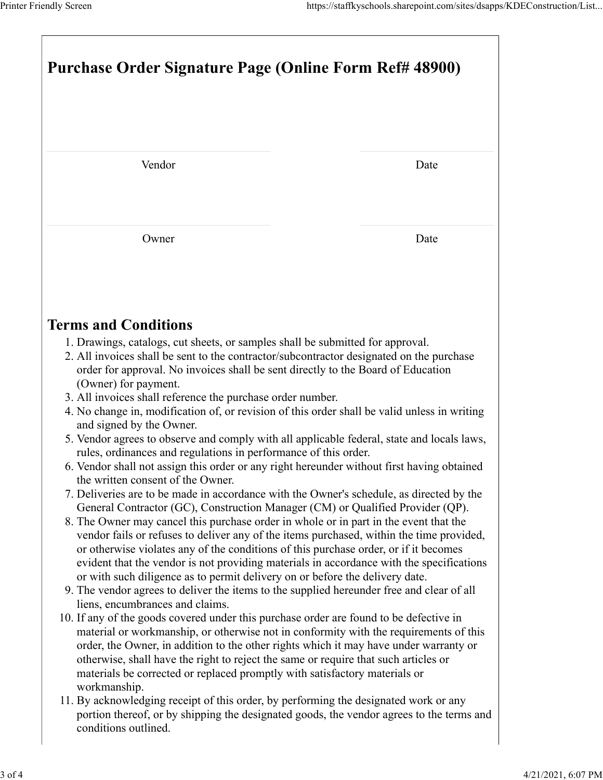| Printer Friendly Screen                                                                                                                                                                                                                                                                                                                                                                                                                                                                                                                                                                                                                                                                                                                                                                                                                                                                                                                                                                                                                                                                                                                                                                                                                                                                                                                                                                                                                                                                                                                                                                                                                                                                                                                                                                                                                                                                                                                                                                                                                                                                                                                             |                                                                                          |  |  |
|-----------------------------------------------------------------------------------------------------------------------------------------------------------------------------------------------------------------------------------------------------------------------------------------------------------------------------------------------------------------------------------------------------------------------------------------------------------------------------------------------------------------------------------------------------------------------------------------------------------------------------------------------------------------------------------------------------------------------------------------------------------------------------------------------------------------------------------------------------------------------------------------------------------------------------------------------------------------------------------------------------------------------------------------------------------------------------------------------------------------------------------------------------------------------------------------------------------------------------------------------------------------------------------------------------------------------------------------------------------------------------------------------------------------------------------------------------------------------------------------------------------------------------------------------------------------------------------------------------------------------------------------------------------------------------------------------------------------------------------------------------------------------------------------------------------------------------------------------------------------------------------------------------------------------------------------------------------------------------------------------------------------------------------------------------------------------------------------------------------------------------------------------------|------------------------------------------------------------------------------------------|--|--|
|                                                                                                                                                                                                                                                                                                                                                                                                                                                                                                                                                                                                                                                                                                                                                                                                                                                                                                                                                                                                                                                                                                                                                                                                                                                                                                                                                                                                                                                                                                                                                                                                                                                                                                                                                                                                                                                                                                                                                                                                                                                                                                                                                     | https://staffkyschools.sharepoint.com/sites/dsapps/KDEConstruction/List                  |  |  |
| <b>Purchase Order Signature Page (Online Form Ref# 48900)</b>                                                                                                                                                                                                                                                                                                                                                                                                                                                                                                                                                                                                                                                                                                                                                                                                                                                                                                                                                                                                                                                                                                                                                                                                                                                                                                                                                                                                                                                                                                                                                                                                                                                                                                                                                                                                                                                                                                                                                                                                                                                                                       |                                                                                          |  |  |
| Vendor                                                                                                                                                                                                                                                                                                                                                                                                                                                                                                                                                                                                                                                                                                                                                                                                                                                                                                                                                                                                                                                                                                                                                                                                                                                                                                                                                                                                                                                                                                                                                                                                                                                                                                                                                                                                                                                                                                                                                                                                                                                                                                                                              | Date                                                                                     |  |  |
| Owner                                                                                                                                                                                                                                                                                                                                                                                                                                                                                                                                                                                                                                                                                                                                                                                                                                                                                                                                                                                                                                                                                                                                                                                                                                                                                                                                                                                                                                                                                                                                                                                                                                                                                                                                                                                                                                                                                                                                                                                                                                                                                                                                               | Date                                                                                     |  |  |
| <b>Terms and Conditions</b><br>1. Drawings, catalogs, cut sheets, or samples shall be submitted for approval.<br>2. All invoices shall be sent to the contractor/subcontractor designated on the purchase<br>order for approval. No invoices shall be sent directly to the Board of Education<br>(Owner) for payment.<br>3. All invoices shall reference the purchase order number.<br>4. No change in, modification of, or revision of this order shall be valid unless in writing<br>and signed by the Owner.<br>5. Vendor agrees to observe and comply with all applicable federal, state and locals laws,<br>rules, ordinances and regulations in performance of this order.<br>6. Vendor shall not assign this order or any right hereunder without first having obtained<br>the written consent of the Owner.<br>7. Deliveries are to be made in accordance with the Owner's schedule, as directed by the<br>General Contractor (GC), Construction Manager (CM) or Qualified Provider (QP).<br>8. The Owner may cancel this purchase order in whole or in part in the event that the<br>vendor fails or refuses to deliver any of the items purchased, within the time provided,<br>or otherwise violates any of the conditions of this purchase order, or if it becomes<br>evident that the vendor is not providing materials in accordance with the specifications<br>or with such diligence as to permit delivery on or before the delivery date.<br>9. The vendor agrees to deliver the items to the supplied hereunder free and clear of all<br>liens, encumbrances and claims.<br>10. If any of the goods covered under this purchase order are found to be defective in<br>material or workmanship, or otherwise not in conformity with the requirements of this<br>order, the Owner, in addition to the other rights which it may have under warranty or<br>otherwise, shall have the right to reject the same or require that such articles or<br>materials be corrected or replaced promptly with satisfactory materials or<br>workmanship.<br>11. By acknowledging receipt of this order, by performing the designated work or any | portion thereof, or by shipping the designated goods, the vendor agrees to the terms and |  |  |